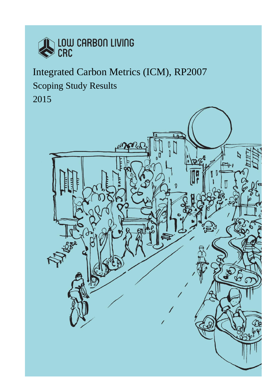

# Integrated Carbon Metrics (ICM), RP2007 Scoping Study Results 2015

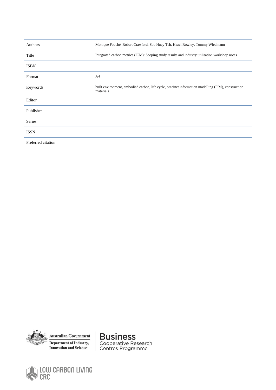| Authors            | Monique Fouché, Robert Crawford, Soo Huey Teh, Hazel Rowley, Tommy Wiedmann                                     |  |
|--------------------|-----------------------------------------------------------------------------------------------------------------|--|
| Title              | Integrated carbon metrics (ICM): Scoping study results and industry utilisation workshop notes                  |  |
| <b>ISBN</b>        |                                                                                                                 |  |
| Format             | A4                                                                                                              |  |
| Keywords           | built environment, embodied carbon, life cycle, precinct information modelling (PIM), construction<br>materials |  |
| Editor             |                                                                                                                 |  |
| Publisher          |                                                                                                                 |  |
| Series             |                                                                                                                 |  |
| <b>ISSN</b>        |                                                                                                                 |  |
| Preferred citation |                                                                                                                 |  |



**Australian Government** Department of Industry, **Innovation and Science** 

**Business** Cooperative Research<br>Centres Programme

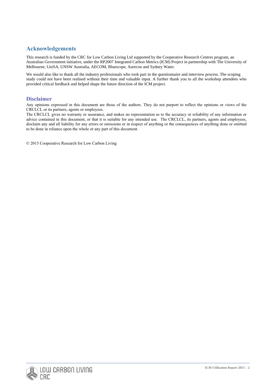# **Acknowledgements**

This research is funded by the CRC for Low Carbon Living Ltd supported by the Cooperative Research Centres program, an Australian Government initiative, under the RP2007 Integrated Carbon Metrics (ICM) Project in partnership with The University of Melbourne, UniSA, UNSW Australia, AECOM, Bluescope, Aurecon and Sydney Water.

We would also like to thank all the industry professionals who took part in the questionnaire and interview process. The scoping study could not have been realised without their time and valuable input. A further thank you to all the workshop attendees who provided critical feedback and helped shape the future direction of the ICM project.

### **Disclaimer**

Any opinions expressed in this document are those of the authors. They do not purport to reflect the opinions or views of the CRCLCL or its partners, agents or employees.

The CRCLCL gives no warranty or assurance, and makes no representation as to the accuracy or reliability of any information or advice contained in this document, or that it is suitable for any intended use. The CRCLCL, its partners, agents and employees, disclaim any and all liability for any errors or omissions or in respect of anything or the consequences of anything done or omitted to be done in reliance upon the whole or any part of this document.

© 2015 Cooperative Research for Low Carbon Living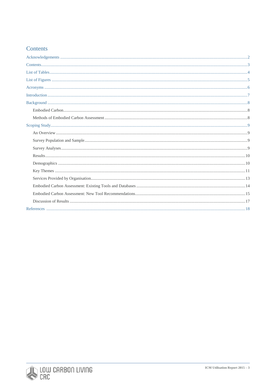# Contents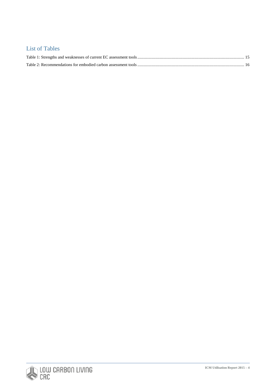# List of Tables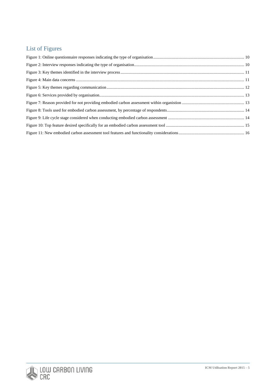# List of Figures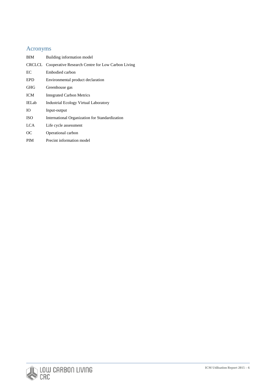# Acronyms

| BIM          | Building information model                               |
|--------------|----------------------------------------------------------|
|              | CRCLCL Cooperative Research Centre for Low Carbon Living |
| EC           | Embodied carbon                                          |
| EPD          | Environmental product declaration                        |
| GHG          | Greenhouse gas                                           |
| <b>ICM</b>   | Integrated Carbon Metrics                                |
| <b>IELab</b> | <b>Industrial Ecology Virtual Laboratory</b>             |
| Ю            | Input-output                                             |
| <b>ISO</b>   | International Organization for Standardization           |
| LCA.         | Life cycle assessment                                    |
| OС           | Operational carbon                                       |
| <b>PIM</b>   | Precint information model                                |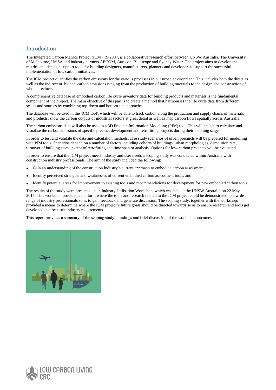## **Introduction**

The Integrated Carbon Metrics Project (ICM), RP2007, is a collaborative research effort between UNSW Australia, The University of Melbourne, UniSA and industry partners AECOM, Aurecon, Bluescope and Sydney Water. The project aims to develop the metrics and decision support tools for building designers, manufacturers, planners and developers to support the successful implementation of low carbon initiatives.

The ICM project quantifies the carbon emissions for the various processes in our urban environment. This includes both the direct as well as the indirect or 'hidden' carbon emissions ranging from the production of building materials to the design and construction of whole precincts.

A comprehensive database of embodied carbon life cycle inventory data for building products and materials is the fundamental component of the project. The main objective of this part is to create a method that harmonises the life cycle data from different scales and sources by combining top-down and bottom-up approaches.

The database will be used in the 'ICM tool', which will be able to track carbon along the production and supply chains of materials and products, show the carbon outputs of industrial sectors at great detail as well as map carbon flows spatially across Australia.

The carbon emissions data will also be used in a 3D Precinct Information Modelling (PIM) tool. This will enable to calculate and visualise the carbon emissions of specific precinct development and retrofitting projects during their planning stage.

In order to test and validate the data and calculation methods, case study scenarios of urban precincts will be prepared for modelling with PIM tools. Scenarios depend on a number of factors including cohorts of buildings, urban morphologies, demolition rate, turnover of building stock, extent of retrofitting and time span of analysis. Options for low-carbon precincts will be evaluated.

In order to ensure that the ICM project meets industry and user needs a scoping study was conducted within Australia with construction industry professionals. The aim of the study included the following:

- Gain an understanding of the construction industry's current approach to embodied carbon assessment;
- Identify perceived strengths and weaknesses of current embodied carbon assessment tools; and
- Identify potential areas for improvement to existing tools and recommendations for development for new embodied carbon tools

The results of the study were presented at an Industry Utilisation Workshop, which was held at the UNSW Australia on 22 May 2015. This workshop provided a platform where the tools and research related to the ICM project could be demonstrated to a wide range of industry professionals so as to gain feedback and generate discussion. The scoping study, together with the workshop, provided a means to determine where the ICM project's future goals should be directed towards so as to ensure research and tools get developed that best suit industry requirements.

This report provides a summary of the scoping study's findings and brief discussion of the workshop outcomes.

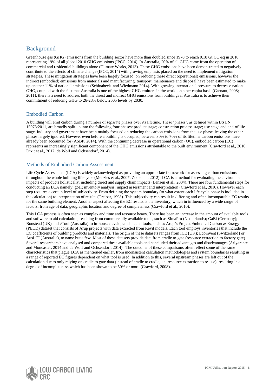# Background

Greenhouse gas (GHG) emissions from the building sector have more than doubled since 1970 to reach 9.18 Gt CO<sub>2</sub>eq in 2010 representing 19% of all global 2010 GHG emissions (IPCC, 2014). In Australia, 20% of all GHG come from the operation of commercial and residential buildings alone [\(Climate Works, 2013\)](#page-18-0). These GHG emissions have been demonstrated to negatively contribute to the effects of climate change (IPCC, 2014) with growing emphasis placed on the need to implement mitigation strategies. These mitigation strategies have been largely focused on reducing these direct (operational) emissions, however the indirect (embodied) emissions from materials and manufacturing, transport, maintenance and disposal have been estimated to make up another 11% of national emissions (Schinabeck and Wiedmann 2014). With growing international pressure to decrease national GHG, coupled with the fact that Australia is one of the highest GHG emitters in the world on a per capita basis (Garnaut, 2008; 2011), there is a need to address both the direct and indirect GHG emissions from buildings if Australia is to achieve their commitment of reducing GHG to 26-28% below 2005 levels by 2030.

#### Embodied Carbon

A building will emit carbon during a number of separate phases over its lifetime. These 'phases', as defined within BS EN 15978:2011, are broadly split up into the following four phases: product stage; construction process stage; use stage and end of life stage. Industry and government have been mainly focused on reducing the carbon emissions from the use phase, leaving the other phases largely ignored. However even before a building is occupied, between 30% to 70% of its lifetime carbon emissions have already been accounted for (ASBP, 2014). With the continuing decrease in operational carbon (OC), embodied carbon (EC) represents an increasingly significant component of the GHG emissions attributable to the built environment (Crawford et al., 2010; Dixit et al., 2012; de Wolf and Ochsendorf, 2014).

#### Methods of Embodied Carbon Assessment

Life Cycle Assessment (LCA) is widely acknowledged as providing an appropriate framework for assessing carbon emissions throughout the whole building life cycle (Menzies et al., 2007; Zuo et al., 2012). LCA is a method for evaluating the environmental impacts of products holistically, including direct and supply chain impacts (Lenzen et al., 2004). There are four fundamental steps for conducting an LCA namely: goal; inventory analysis; impact assessment and interpretation (Crawford et al., 2010). However each step requires a certain level of subjectivity. From defining the system boundary (to what extent each life cycle phase is included in the calculation) to interpretation of results (Treloar, 1998). This subjectivity can result in differing and often incomparable EC results for the same building element. Another aspect affecting the EC results is the inventory, which in influenced by a wide range of factors, from age of data; geographic location and degree of completeness (Crawford et al., 2010).

This LCA process is often seen as complex and time and resource heavy. There has been an increase in the amount of available tools and software to aid calculation, reaching from commercially available tools, such as SimaPro (Netherlands); GaBi (Germany); Boustead (UK) and eTool (Australia) to in-house developed data and tools, such as Arup's Project Embodied Carbon & Energy (PECD) dataset that consists of Arup projects with data extracted from Revit models. Each tool employs inventories that include the EC coefficients of building products and materials. The origin of these datasets ranges from ICE (UK); Ecoinvent (Switzerland) or AusLCI (Australia), to name but a few. Most of these datasets provide data from cradle to gate (resource extraction to factory gate). Several researchers have analysed and compared these available tools and concluded their advantages and disadvantages (Ariyarante and Moncaster, 2014 and de Wolf and Ochsendorf, 2014). The outcome of these comparisons often reflect some of the same characteristics that plague LCA as mentioned earlier, from inconsistent calculation methodologies and system boundaries resulting in a range of reported EC figures dependent on what tool is used. In addition to this, several upstream phases are left out of the calculation due to only relying on cradle to gate data (instead of cradle to cradle, i.e. resource extraction to re-use), resulting in a degree of incompleteness which has been shown to be 50% or more [\(Crawford, 2008\)](#page-18-0).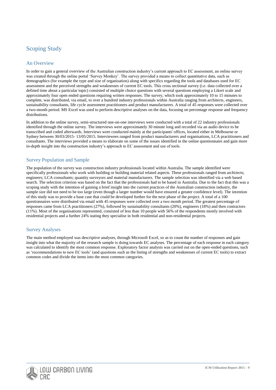# Scoping Study

#### An Overview

In order to gain a general overview of the Australian construction industry's current approach to EC assessment, an online survey was created through the online portal 'Survey Monkey'. The survey provided a means to collect quantitative data, such as demographics (for example the type and size of organisation) along with specifics regarding the tools and databases used for EC assessment and the perceived strengths and weaknesses of current EC tools. This cross sectional survey (i.e. data collected over a defined time about a particular topic) consisted of multiple choice questions with several questions employing a Likert scale and approximately four open ended questions requiring written responses. The survey, which took approximately 10 to 15 minutes to complete, was distributed, via email, to over a hundred industry professionals within Australia ranging from architects, engineers, sustainability consultants, life cycle assessment practitioners and product manufacturers. A total of 45 responses were collected over a two-month period. MS Excel was used to perform descriptive analyses on the data, focusing on percentage response and frequency distributions.

In addition to the online survey, semi-structured one-on-one interviews were conducted with a total of 22 industry professionals identified through the online survey. The interviews were approximately 30 minute long and recorded via an audio device to be transcribed and coded afterwards. Interviews were conducted mainly at the participants' offices, located either in Melbourne or Sydney between 30/03/2015- 13/05/2015. Interviewees ranged from product manufacturers and organisations, LCA practitioners and consultants. The interviews provided a means to elaborate on some of the issues identified in the online questionnaire and gain more in-depth insight into the construction industry's approach to EC assessment and use of tools.

#### Survey Population and Sample

The population of the survey was construction industry professionals located within Australia. The sample identified were specifically professionals who work with building or building material related aspects. These professionals ranged from architects; engineers; LCA consultants; quantity surveyors and material manufacturers. The sample selection was identified via a web based search. The selection criterion was based on the fact that the professionals had to be based in Australia. Due to the fact that this was a scoping study with the intention of gaining a brief insight into the current practices of the Australian construction industry, the sample size did not need to be too large (even though a larger number would have ensured a greater confidence level). The intention of this study was to provide a base case that could be developed further for the next phase of the project. A total of a 100 questionnaires were distributed via email with 45 responses were collected over a two month period. The greatest percentage of responses came from LCA practitioners (27%), followed by sustainability consultants (20%), engineers (18%) and then contractors (11%). Most of the organisations represented, consisted of less than 10 people with 56% of the respondents mostly involved with residential projects and a further 24% stating they specialise in both residential and non-residential projects.

#### Survey Analyses

The main method employed was descriptive analyses, through Microsoft Excel, so as to count the number of responses and gain insight into what the majority of the research sample is doing towards EC analyses. The percentage of each response in each category was calculated to identify the most common response. Exploratory factor analysis was carried out on the open-ended questions, such as 'recommendations to new EC tools' (and questions such as the listing of strengths and weaknesses of current EC tools) to extract common codes and divide the items into the most common categories.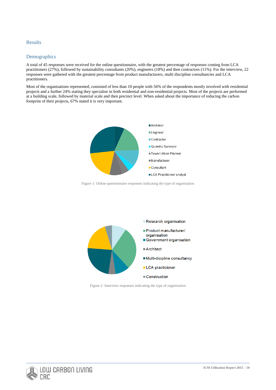#### Results

#### **Demographics**

A total of 45 responses were received for the online questionnaire, with the greatest percentage of responses coming from LCA practitioners (27%); followed by sustainability consultants (20%), engineers (18%) and then contractors (11%). For the interview, 22 responses were gathered with the greatest percentage from product manufacturers, multi discipline consultancies and LCA practitioners.

Most of the organisations represented, consisted of less than 10 people with 56% of the respondents mostly involved with residential projects and a further 24% stating they specialise in both residential and non-residential projects. Most of the projects are performed at a building scale, followed by material scale and then precinct level. When asked about the importance of reducing the carbon footprint of their projects, 67% stated it is very important.



Figure 1: Online questionnaire responses indicating the type of organisation



Figure 2: Interview responses indicating the type of organisation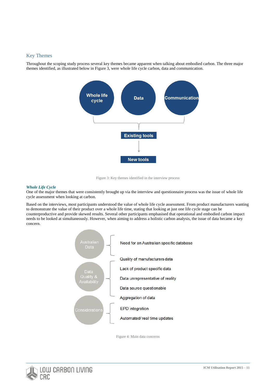#### Key Themes

Throughout the scoping study process several key themes became apparent when talking about embodied carbon. The three major themes identified, as illustrated below in Figure 3, were whole life cycle carbon, data and communication.



Figure 3: Key themes identified in the interview process

#### *Whole Life Cycle*

One of the major themes that were consistently brought up via the interview and questionnaire process was the issue of whole life cycle assessment when looking at carbon.

Based on the interviews, most participants understood the value of whole life cycle assessment. From product manufacturers wanting to demonstrate the value of their product over a whole life time, stating that looking at just one life cycle stage can be counterproductive and provide skewed results. Several other participants emphasised that operational and embodied carbon impact needs to be looked at simultaneously. However, when aiming to address a holistic carbon analysis, the issue of data became a key concern.



Figure 4: Main data concerns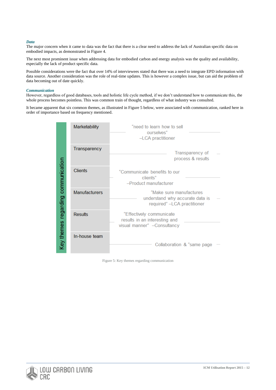#### *Data*

The major concern when it came to data was the fact that there is a clear need to address the lack of Australian specific data on embodied impacts, as demonstrated in Figure 4.

The next most prominent issue when addressing data for embodied carbon and energy analysis was the quality and availability, especially the lack of product specific data.

Possible considerations were the fact that over 14% of interviewees stated that there was a need to integrate EPD information with data source. Another consideration was the role of real-time updates. This is however a complex issue, but can aid the problem of data becoming out of date quickly.

#### *Communication*

However, regardless of good databases, tools and holistic life cycle method, if we don't understand how to communicate this, the whole process becomes pointless. This was common train of thought, regardless of what industry was consulted.

It became apparent that six common themes, as illustrated in Figure 5 below, were associated with communication, ranked here in order of importance based on frequency mentioned.

|                                    | Marketability        | "need to learn how to sell<br>ourselves"<br>-LCA practitioner                             |
|------------------------------------|----------------------|-------------------------------------------------------------------------------------------|
|                                    | Transparency         | Transparency of<br>process & results                                                      |
|                                    | <b>Clients</b>       | "Communicate benefits to our<br>clients"<br>-Product manufacturer                         |
| Key themes regarding communication | <b>Manufacturers</b> | "Make sure manufactures<br>understand why accurate data is<br>required" -LCA practitioner |
|                                    | <b>Results</b>       | "Effectively communicate<br>results in an interesting and<br>visual manner" - Consultancy |
|                                    | In-house team        | Collaboration & "same page                                                                |

Figure 5: Key themes regarding communication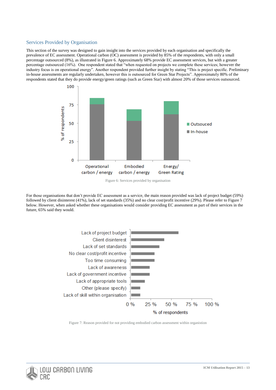#### Services Provided by Organisation

This section of the survey was designed to gain insight into the services provided by each organisation and specifically the prevalence of EC assessment. Operational carbon (OC) assessment is provided by 85% of the respondents, with only a small percentage outsourced (8%), as illustrated in Figure 6. Approximately 68% provide EC assessment services, but with a greater percentage outsourced (16%). One respondent stated that "when requested on projects we complete these services; however the industry focus is on operational energy". Another respondent provided further insight by stating "This is project specific. Preliminary in-house assessments are regularly undertaken, however this is outsourced for Green Star Projects". Approximately 80% of the respondents stated that they do provide energy/green ratings (such as Green Star) with almost 20% of those services outsourced.



Figure 6: Services provided by organisation

For those organisations that don't provide EC assessment as a service, the main reason provided was lack of project budget (59%) followed by client disinterest (41%), lack of set standards (35%) and no clear cost/profit incentive (29%). Please refer to Figure 7 below. However, when asked whether these organisations would consider providing EC assessment as part of their services in the future, 65% said they would.



Figure 7: Reason provided for not providing embodied carbon assessment within organistion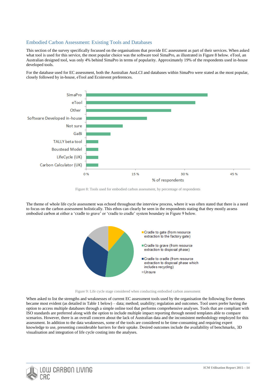#### Embodied Carbon Assessment: Existing Tools and Databases

This section of the survey specifically focussed on the organisations that provide EC assessment as part of their services. When asked what tool is used for this service, the most popular choice was the software tool SimaPro, as illustrated in Figure 8 below. eTool, an Australian designed tool, was only 4% behind SimaPro in terms of popularity. Approximately 19% of the respondents used in-house developed tools.

For the database used for EC assessment, both the Australian AusLCI and databases within SimaPro were stated as the most popular, closely followed by in-house, eTool and Ecoinvent preferences.



Figure 8: Tools used for embodied carbon assessment, by percentage of respondents

The theme of whole life cycle assessment was echoed throughout the interview process, where it was often stated that there is a need to focus on the carbon assessment holistically. This ethos can clearly be seen in the respondents stating that they mostly assess embodied carbon at either a 'cradle to grave' or 'cradle to cradle' system boundary in Figure 9 below.





When asked to list the strengths and weaknesses of current EC assessment tools used by the organisation the following five themes became most evident (as detailed in Table 1 below) – data; method; usability; regulation and outcomes. Tool users prefer having the option to access multiple databases through a simple online tool that performs comprehensive analyses. Tools that are compliant with ISO standards are preferred along with the option to include multiple impact reporting through nested templates able to compare scenarios. However, there is an overall concern about the lack of Australian data and the inconsistent methodology employed for this assessment. In addition to the data weaknesses, some of the tools are considered to be time-consuming and requiring expert knowledge to use, presenting considerable barriers for their uptake. Desired outcomes include the availability of benchmarks, 3D visualisation and integration of life cycle costing into the analyses.

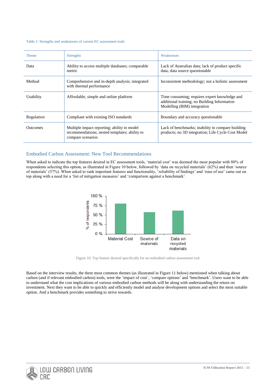#### Table 1: Strengths and weaknesses of current EC assessment tools

| <b>Theme</b>    | <b>Strengths</b>                                                                                                  | Weaknesses                                                                                                                   |
|-----------------|-------------------------------------------------------------------------------------------------------------------|------------------------------------------------------------------------------------------------------------------------------|
| Data            | Ability to access multiple databases; comparable<br>metric                                                        | Lack of Australian data; lack of product specific<br>data; data source questionable                                          |
| Method          | Comprehensive and in-depth analysis; integrated<br>with thermal performance                                       | Inconsistent methodology; not a holistic assessment                                                                          |
| Usability       | Affordable, simple and online platform                                                                            | Time consuming; requires expert knowledge and<br>additional training; no Building Information<br>Modelling (BIM) integration |
| Regulation      | Compliant with existing ISO standards                                                                             | Boundary and accuracy questionable                                                                                           |
| <b>Outcomes</b> | Multiple impact reporting; ability to model<br>recommendations; nested templates; ability to<br>compare scenarios | Lack of benchmarks; inability to compare building<br>products; no 3D integration; Life Cycle Cost Model                      |

#### Embodied Carbon Assessment: New Tool Recommendations

When asked to indicate the top features desired in EC assessment tools, 'material cost' was deemed the most popular with 80% of respondents selecting this option, as illustrated in Figure 10 below, followed by 'data on recycled materials' (62%) and then 'source of materials' (57%). When asked to rank important features and functionality, 'reliability of findings' and 'ease of use' came out on top along with a need for a 'list of mitigation measures' and 'comparison against a benchmark'.



Figure 10: Top feature desired specifically for an embodied carbon assessment tool

Based on the interview results, the three most common themes (as illustrated in Figure 11 below) mentioned when talking about carbon (and if relevant embodied carbon) tools, were the 'impact of cost', 'compare options' and 'benchmark'. Users want to be able to understand what the cost implications of various embodied carbon methods will be along with understanding the return on investment. Next they want to be able to quickly and efficiently model and analyse development options and select the most suitable option. And a benchmark provides something to strive towards.

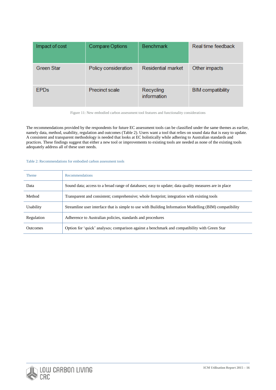| Impact of cost    | Compare Options      | <b>Benchmark</b>          | Real time feedback       |
|-------------------|----------------------|---------------------------|--------------------------|
| <b>Green Star</b> | Policy consideration | <b>Residential market</b> | Other impacts            |
| <b>EPDs</b>       | Precinct scale       | Recycling<br>information  | <b>BIM</b> compatibility |

Figure 11: New embodied carbon assessment tool features and functionality considerations

The recommendations provided by the respondents for future EC assessment tools can be classified under the same themes as earlier, namely data, method, usability, regulation and outcomes (Table 2). Users want a tool that relies on sound data that is easy to update. A consistent and transparent methodology is needed that looks at EC holistically while adhering to Australian standards and practices. These findings suggest that either a new tool or improvements to existing tools are needed as none of the existing tools adequately address all of these user needs.

#### Table 2: Recommendations for embodied carbon assessment tools

| <b>Theme</b>    | <b>Recommendations</b>                                                                                  |
|-----------------|---------------------------------------------------------------------------------------------------------|
| Data            | Sound data; access to a broad range of databases; easy to update; data quality measures are in place    |
| Method          | Transparent and consistent; comprehensive; whole footprint; integration with existing tools             |
| Usability       | Streamline user interface that is simple to use with Building Information Modelling (BIM) compatibility |
| Regulation      | Adherence to Australian policies, standards and procedures                                              |
| <b>Outcomes</b> | Option for 'quick' analyses; comparison against a benchmark and compatibility with Green Star           |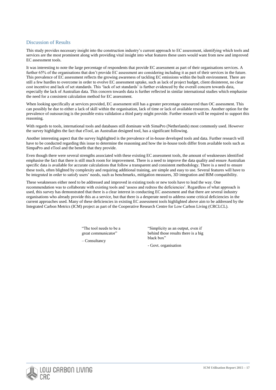#### Discussion of Results

This study provides necessary insight into the construction industry's current approach to EC assessment, identifying which tools and services are the most prominent along with providing vital insight into what features these users would want from new and improved EC assessment tools.

It was interesting to note the large percentage of respondents that provide EC assessment as part of their organisations services. A further 65% of the organisations that don't provide EC assessment are considering including it as part of their services in the future. This prevalence of EC assessment reflects the growing awareness of tackling EC emissions within the built environment. There are still a few hurdles to overcome in order to evolve EC assessment uptake, such as lack of project budget, client disinterest, no clear cost incentive and lack of set standards. This 'lack of set standards' is further evidenced by the overall concern towards data, especially the lack of Australian data. This concern towards data is further reflected in similar international studies which emphasise the need for a consistent calculation method for EC assessment.

When looking specifically at services provided, EC assessment still has a greater percentage outsourced than OC assessment. This can possibly be due to either a lack of skill within the organisation, lack of time or lack of available resources. Another option for the prevalence of outsourcing is the possible extra validation a third party might provide. Further research will be required to support this reasoning.

With regards to tools, international tools and databases still dominate with SimaPro (Netherlands) most commonly used. However the survey highlights the fact that eTool, an Australian designed tool, has a significant following.

Another interesting aspect that the survey highlighted is the prevalence of in-house developed tools and data. Further research will have to be conducted regarding this issue to determine the reasoning and how the in-house tools differ from available tools such as SimpaPro and eTool and the benefit that they provide.

Even though there were several strengths associated with these existing EC assessment tools, the amount of weaknesses identified emphasise the fact that there is still much room for improvement. There is a need to improve the data quality and ensure Australian specific data is available for accurate calculations that follow a transparent and consistent methodology. There is a need to ensure these tools, often blighted by complexity and requiring additional training, are simple and easy to use. Several features will have to be integrated in order to satisfy users' needs, such as benchmarks, mitigation measures, 3D integration and BIM compatibility.

These weaknesses either need to be addressed and improved in existing tools or new tools have to lead the way. One recommendation was to collaborate with existing tools and 'assess and redress the deficiencies'. Regardless of what approach is used, this survey has demonstrated that there is a clear interest in conducting EC assessment and that there are several industry organisations who already provide this as a service, but that there is a desperate need to address some critical deficiencies in the current approaches used. Many of these deficiencies in existing EC assessment tools highlighted above aim to be addressed by the Integrated Carbon Metrics (ICM) project as part of the Cooperative Research Centre for Low Carbon Living (CRCLCL).

> "The tool needs to be a great communicator"

– Consultancy

"Simplicity as an output, even if behind those results there is a big black box"

- Govt. organisation